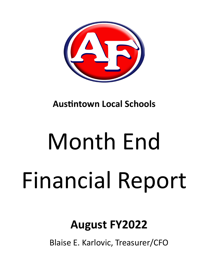

**Austintown Local Schools** 

# Month End Financial Report

# **August FY2022**

Blaise E. Karlovic, Treasurer/CFO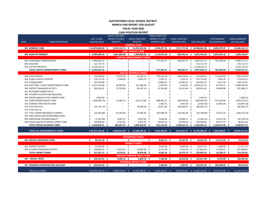#### **AUSTINTOWN LOCAL SCHOOL DISTRICT MONTH END REPORT FOR AUGUST FISCAL YEAR 2022 CASH POSITION REPORT**

|             |                                         |    |                     |    | FISCAL YEAR 2022                  |                              |                  |      | FISCAL YEAR 2022     |      |                     |    |                                                  |      |                          |    |                     |
|-------------|-----------------------------------------|----|---------------------|----|-----------------------------------|------------------------------|------------------|------|----------------------|------|---------------------|----|--------------------------------------------------|------|--------------------------|----|---------------------|
|             |                                         |    | <b>JULY 1, 2021</b> |    | <b>MONTH TO DATE</b>              | FISCAL YEAR 2022             |                  |      | <b>MONTH TO DATE</b> |      | FISCAL YEAR 2022    |    |                                                  |      | <b>OUTSTANDING</b>       |    | <b>UNENCUMBERED</b> |
| <b>FUND</b> | <b>FUND DESCRIPTION</b>                 |    | <b>CASH BALANCE</b> |    | <b>RECEIPTS</b>                   | <b>RECEIPTS</b>              |                  |      | <b>EXPENDITURES</b>  |      | <b>EXPENDITURES</b> |    | <b>CASH BALANCE</b>                              |      | <b>ENCUMBRANCES</b>      |    | <b>CASH BALANCE</b> |
|             |                                         |    |                     |    |                                   | <b>GENERAL FUND</b>          |                  |      |                      |      |                     |    |                                                  |      |                          |    |                     |
|             | 001 GENERAL FUND                        |    | $$13,879,600.39$ \$ |    | 8,533,114.71 \$ 11,876,218.34 \$  |                              |                  |      | 3,758,077.76 \$      |      |                     |    | 7,217,777.24 \$ 18,538,041.49 \$ 2,891,879.37 \$ |      |                          |    | 15,646,162.12       |
|             |                                         |    |                     |    |                                   | <b>DEBT SERVICE FUND</b>     |                  |      |                      |      |                     |    |                                                  |      |                          |    |                     |
|             | 002 BOND RETIREMENT                     |    | \$3,586,200.64\$    |    | 1,061,000.00 \$                   |                              | 1,299,000.00 \$  |      | 1,114,910.10 \$      |      |                     |    | 859,436.41 \$ 4,025,764.23 \$ 2,635,626.16 \$    |      |                          |    | 1,390,138.07        |
|             |                                         |    |                     |    | <b>CAPITAL IMPROVEMENT FUNDS</b>  |                              |                  |      |                      |      |                     |    |                                                  |      |                          |    |                     |
|             | 003 PERMANENT IMPROVEMENT               |    | \$2,958,803.52\$    |    |                                   | Ś.                           |                  | -\$  | 277,202.37 \$        |      | 305,602.37 \$       |    | 2,653,201.15 \$                                  |      | 762,483.84 \$            |    | 1,890,717.31        |
|             | 004 BUILDING                            |    | 125,713.75 \$       |    |                                   |                              |                  | Ś    |                      | \$   |                     |    | 125,713.75 \$                                    |      |                          | Ŝ. | 125,713.75          |
|             | 070 CAPITAL PROJECTS                    |    | \$3,218,124.25 \$   |    |                                   |                              |                  |      |                      | \$   |                     | S  | 3,218,124.25 \$                                  |      |                          | \$ | 3,218,124.25        |
|             | TOTAL CAPITAL IMPROVEMENT FUNDS         |    | \$6,302,641.52\$    |    |                                   |                              |                  |      | 277,202.37 \$        |      | 305,602.37 \$       |    | 5,997,039.15 \$                                  |      | 762,483.84 \$            |    | 5,234,555.31        |
|             |                                         |    |                     |    |                                   | <b>SPECIAL REVENUE FUNDS</b> |                  |      |                      |      |                     |    |                                                  |      |                          |    |                     |
|             | 006 FOOD SERVICE                        | Ś. | 716,690.95 \$       |    | 12,673.95 \$                      |                              | 43,246.11 \$     |      | 149,202.48 \$        |      | 244,676.81 \$       |    | 515,260.25 \$                                    |      | 773,538.90 \$            |    | (258, 278.65)       |
|             | 018 PUBLIC SCHOOL SUPPORT               |    | 176,171.09 \$       |    | $5,938.00$ \$                     |                              | $6,652.73$ \$    |      | $2,395.22$ \$        |      | $3,104.22$ \$       |    | 179,719.60 \$                                    |      | 7,065.25 \$              |    | 172,654.35          |
|             | 019 OTHER GRANT                         |    | 167,916.88 \$       |    |                                   | \$                           |                  | S.   | 11,885.01 \$         |      | 11,885.01 \$        |    | 156,031.87 \$                                    |      | $5,911.90$ \$            |    | 150,119.97          |
|             | 034 OSFC PROJ-.5 MILLS MAINTENANCE FUND |    | 3,521,355.08 \$     |    | 99,000.00                         | - \$                         | 121,000.00 \$    |      | 1,875.00 \$          |      | $3,103.82$ \$       |    | 3,639,251.26 \$                                  |      | 49,759.17 \$             |    | 3,589,492.09        |
|             | 300 DISTRICT MANAGED ACTIVITY           |    | 189,320.02 \$       |    | 51,550.96 \$                      |                              | 64,297.24 \$     |      | 25,554.68 \$         |      | 55,161.84 \$        |    | 198,455.42 \$                                    |      | 90,468.90 \$             |    | 107,986.52          |
|             | 451 NETWORK CONNECTIVITY                |    |                     |    |                                   | Ś                            |                  |      |                      | Ś    |                     |    |                                                  |      |                          | Ŝ  |                     |
|             | 467 STUDENT SUCCESS AND WELLNESS        |    |                     | \$ |                                   | Ś                            |                  |      |                      | Ś    |                     |    |                                                  |      |                          | Ŝ  |                     |
|             | 499 MISCELLANEOUS STATE GRANT FUND      |    | 1,458.29            |    |                                   | S                            |                  |      |                      |      |                     |    | 1,458.29 \$                                      |      |                          |    | 1,458.29            |
|             | 507 ESSER FEDERAL RELIEF FUND           |    | $(426, 289.74)$ \$  |    | 71,405.13                         | -Ś                           | 619,712.66       |      | 488,965.37           | - Ś  | 660,078.99          |    | $(466, 656.07)$ \$                               |      | 472,620.60 \$            |    | (939, 276.67)       |
|             | 510 CORONA VIRUS RELIEF FUND            |    |                     | -Ś |                                   | \$                           |                  | S    | $1,002.75$ \$        |      | $2,005.50$ \$       |    | $(2,005.50)$ \$                                  |      | 12,891.60 \$             |    | (14,897.10)         |
|             | 516 FY19 Title VI-B                     |    | $(41,791.73)$ \$    |    |                                   | Ś                            | 79,694.03 \$     |      | 13,871.06 \$         |      | 104,199.07 \$       |    | $(66, 296.77)$ \$                                |      | $\overline{\phantom{a}}$ | Ŝ  | (66, 296.77)        |
|             | 551 FY20 TITLE III                      |    |                     | -Ś |                                   | Ś                            |                  | Ŝ    | $\overline{a}$       | \$   |                     | Ŝ. |                                                  | -S   |                          | Ś  |                     |
|             | 572 TITLE I DISADVANTAGED STUDENTS      |    | $(15,462.88)$ \$    |    | 41,583.04                         | - Ś                          | 57,045.92 \$     |      | 102,486.28           | - \$ | 133,382.88 \$       |    | $(91,799.84)$ \$                                 |      | 76,412.41 \$             |    | (168, 212.25)       |
|             | 587 IDEA SPECIAL EDUCATION PRESCHOOL    |    |                     | -S |                                   | Ŝ                            |                  | S    |                      | Ŝ    |                     | -S |                                                  | - \$ |                          | -Ś |                     |
|             | 590 IMPROVING TEACHER QUALITY           |    | $(1,531.09)$ \$     |    | 4,422.57 \$                       |                              | 9,076.93 \$      |      | 5,642.60 \$          |      | 10,809.17 \$        |    | $(3,263.33)$ \$                                  |      | 21,473.20 \$             |    | (24, 736.53)        |
|             | 599 MISCELLANEOUS FEDERAL GRANT FUND    |    | 140,856.04 \$       |    | 2,924.02 \$                       |                              | 8,292.45 \$      |      | 10,636.24 \$         |      | 20,208.44 \$        |    | 128,940.05 \$                                    |      | 48,277.57 \$             |    | 80,662.48           |
|             | <b>TOTAL SPECIAL REVENUE FUNDS</b>      | S. | 4,428,692.91 \$     |    | 289,497.67 \$                     |                              | 1,009,018.07 \$  |      | 813,516.69 \$        |      | 1,248,615.75 \$     |    | 4,189,095.23 \$                                  |      | 1,558,419.50 \$          |    | 2,630,675.73        |
|             |                                         |    |                     |    |                                   |                              |                  |      |                      |      |                     |    |                                                  |      |                          |    |                     |
|             | <b>TOTAL ALL GOVERNMENTAL FUNDS</b>     |    | $$28,197,135.46$ \$ |    | 9,883,612.38 \$                   |                              | 14,184,236.41 \$ |      | 5,963,706.92 \$      |      |                     |    | 9,631,431.77 \$ 32,749,940.10 \$                 |      | 7,848,408.87 \$          |    | 24,901,531.23       |
|             |                                         |    |                     |    |                                   |                              |                  |      |                      |      |                     |    |                                                  |      |                          |    |                     |
|             |                                         |    |                     |    |                                   | <b>ENTERPRISE FUNDS</b>      |                  |      |                      |      |                     |    |                                                  |      |                          |    |                     |
|             | 020 SPECIAL ENTERPRISE FUND             | Ś. | 59,227.55 \$        |    | $-5$                              |                              | $\sim$           | \$   | 8,834.13 \$          |      | 14,592.35 \$        |    | 44,635.20 \$                                     |      | 27,115.84 \$             |    | 17,519.36           |
|             |                                         |    |                     |    |                                   | <b>AGENCY FUNDS</b>          |                  |      |                      |      |                     |    |                                                  |      |                          |    |                     |
|             | 022 DISTRICT AGENCY                     | Ś  | 27,426.80 \$        |    | $\sim$                            | $\mathsf{S}$                 | ÷.               | \$   | $3,051.86$ \$        |      | 8,949.49 \$         |    | 18,477.31 \$                                     |      | $1,300.00$ \$            |    | 17,177.31           |
|             | 200 STUDENT MANAGED ACTIVITY            |    | 109,680.32 \$       |    | 8,519.41 \$                       |                              | 14,810.99 \$     |      | $6,151.30$ \$        |      | 7,026.30 \$         |    | 117,465.01 \$                                    |      | 15,496.37 \$             |    | 101,968.64          |
|             | <b>TOTAL AGENCY FUNDS</b>               |    | 137,107.12 \$       |    | 8,519.41 \$                       |                              | 14,810.99 \$     |      | $9,203.16$ \$        |      | 15,975.79 \$        |    | 135,942.32 \$                                    |      | 16,796.37 \$             |    | 119,145.95          |
|             |                                         |    |                     |    | <b>PRIVATE PURPOSE TRUST FUND</b> |                              |                  |      |                      |      |                     |    |                                                  |      |                          |    |                     |
|             | 007 SPECIAL TRUST                       |    | \$144,232.62\$      |    | $4,468.13$ \$                     |                              | 6,898.76 \$      |      | 7,186.00 \$          |      | 18,456.00 \$        |    | 132,675.38 \$                                    |      | 4,270.00 \$              |    | 128,405.38          |
|             |                                         |    |                     |    |                                   | <b>INTERNAL SERVICE FUND</b> |                  |      |                      |      |                     |    |                                                  |      |                          |    |                     |
|             | 027 WORKERS COMPENSATION ACCOUNT        |    | \$244,431.03\$      |    | $\sim$                            | Ŝ.                           | $\sim$           | - \$ | 1,500.00 \$          |      | $1,500.00$ \$       |    | 242,931.03 \$                                    |      | 183,000.00 \$            |    | 59,931.03           |
|             | <b>TOTAL ALL FUNDS</b>                  |    | $$28,782,133.78$ \$ |    | 9.896.599.92 \$                   |                              | 14,205,946.16 \$ |      | 5,983,244.21 \$      |      |                     |    | 9,681,955.91 \$ 33,306,124.03 \$                 |      | 8,079,591.08 \$          |    | 25,226,532.95       |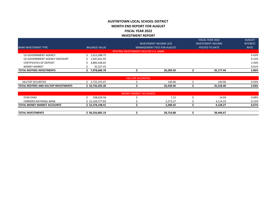## **AUSTINTOWN LOCAL SCHOOL DISTRICT MONTH END REPORT FOR AUGUST FISCAL YEAR 2022 INVESTMENT REPORT**

|                                  |                      |                                       |                                   | <b>FISCAL YEAR 2022</b>  | <b>AUGUST</b>   |
|----------------------------------|----------------------|---------------------------------------|-----------------------------------|--------------------------|-----------------|
|                                  |                      |                                       | <b>INVESTMENT INCOME LESS</b>     | <b>INVESTMENT INCOME</b> | <b>INTEREST</b> |
| <b>BANK INVESTMENT TYPE</b>      | <b>BALANCE VALUE</b> |                                       | <b>MANAGEMENT FEES FOR AUGUST</b> | POSTED TO DATE           | <b>RATE</b>     |
|                                  |                      | REDTREE INVESTMENTS HELD BY U.S. BANK |                                   |                          |                 |
| US GOVERNMENT AGENCY             | 1,613,288.75         |                                       |                                   |                          | 0.43%           |
| US GOVERNMENT AGENCY DISCOUNT    | 1,447,631.95         |                                       |                                   |                          | 0.22%           |
| <b>CERTIFICATES OF DEPOSIT</b>   | 4,885,438.65         |                                       |                                   |                          | 2.50%           |
| <b>MONEY MARKET</b>              | 32,327.43            |                                       |                                   |                          | 0.01%           |
| <b>TOTAL REDTREE INVESTMENTS</b> | 7.978.686.78         |                                       | 26.289.50                         | 35.177.44                | 2.06%           |
|                                  |                      |                                       |                                   |                          |                 |

|                                                   |                                      | SECURITIES<br>ЧI<br>TOP |           |           |       |
|---------------------------------------------------|--------------------------------------|-------------------------|-----------|-----------|-------|
| <b>SECURITIES</b><br>HILLIU.                      | 101 <sub>0</sub><br>.<br>2.72J.1J1.U |                         | 140.96    | 140.96    | 0.43% |
| L REDTREE AND HILLTOP INVESTMENTS<br><b>TOTAL</b> | 10.736.205.28                        |                         | 26.430.46 | 35.318.40 | 2.03% |

|                                    |                       | <b>MONEY MARKET ACCOUNTS</b> |           |           |       |
|------------------------------------|-----------------------|------------------------------|-----------|-----------|-------|
| <b>STAR OHIO</b>                   | 108,620.58            |                              | 7.15      | 14.04     | 0.08% |
| <b>FARMERS NATIONAL BANK</b>       | 22,169,577.83         |                              | 2.273.27  | 4.114.23  | 0.12% |
| <b>TOTAL MONEY MARKET ACCOUNTS</b> | <b>;22,278,198.41</b> |                              | 2,280.42  | 4.128.27  | 0.67% |
|                                    |                       |                              |           |           |       |
| <b>TOTAL INVESTMENTS</b>           | 30,256,885.19         |                              | 28,710.88 | 39.446.67 |       |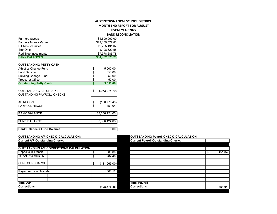### **AUSTINTOWN LOCAL SCHOOL DISTRICT MONTH END REPORT FOR AUGUST**

**FISCAL YEAR 2022**

**Corrections (108,778.48)**

**BANK RECONCILIATION**

|                                                            |                      | <b>DAIVIN INCLUSIVATION</b> |                                               |              |
|------------------------------------------------------------|----------------------|-----------------------------|-----------------------------------------------|--------------|
| <b>Farmers Sweep</b>                                       | \$1,500,000.00       |                             |                                               |              |
| Farmers Money Market                                       | \$22,169,577.83      |                             |                                               |              |
| <b>HillTop Securities</b>                                  | \$2,725,191.07       |                             |                                               |              |
| Star Ohio                                                  | \$108,620.58         |                             |                                               |              |
| Red Tree Investments                                       | \$7,978,686.78       |                             |                                               |              |
| <b>BANK BALANCES</b>                                       | \$34,482,076.26      |                             |                                               |              |
| <b>OUTSTANDING PETTY CASH</b>                              |                      |                             |                                               |              |
| <b>Athletics Change Fund</b>                               | 5,000.00             |                             |                                               |              |
| <b>Food Service</b>                                        | 550.00               |                             |                                               |              |
| <b>Building Change Fund</b>                                | 50.00                |                             |                                               |              |
| <b>Treasurer Office</b>                                    | 50.00                |                             |                                               |              |
| <b>Outstanding Petty Cash</b>                              | \$<br>5,650.00       |                             |                                               |              |
| <b>OUTSTANDING A/P CHECKS</b><br>OUSTANDING PAYROLL CHECKS | \$<br>(1,073,274.79) |                             |                                               |              |
| AP RECON                                                   | \$<br>(108, 778.48)  |                             |                                               |              |
| PAYROLL RECON                                              | \$<br>451.04         |                             |                                               |              |
| <b>BANK BALANCE</b>                                        | 33,306,124.03        |                             |                                               |              |
| <b>FUND BALANCE</b>                                        | 33,306,124.03        |                             |                                               |              |
| <b>Bank Balance = Fund Balance</b>                         | 0.00                 |                             |                                               |              |
| <b>OUTSTANDING A/P CHECK CALCULATION:</b>                  |                      |                             | <b>OUTSTANDING Payroll CHECK CALCULATION:</b> |              |
| <b>Current A/P Outstanding Checks</b>                      |                      |                             | <b>Current Payroll Outstanding Checks</b>     |              |
| <b>OUTSTANDING A/P CORRECTIONS CALCULATION:</b>            |                      |                             |                                               |              |
| Deposits in Transit                                        | \$<br>300.00         |                             |                                               | \$<br>451.04 |
| <b>TITAN PAYMENTS</b>                                      |                      |                             |                                               |              |
|                                                            | \$<br>982.40         |                             |                                               |              |
| <b>SERS SURCHARGE</b>                                      | \$<br>(111,069.00)   |                             |                                               |              |
|                                                            |                      |                             |                                               |              |
| <b>Payroll Account Transfer</b>                            | 1,008.12             |                             |                                               |              |
|                                                            |                      |                             |                                               |              |

**Total A/P** 

#### **OUTSTANDING Payroll CHECK CALCULATION:**

| <b>Current Payroll Outstanding Checks</b> |  |              |
|-------------------------------------------|--|--------------|
|                                           |  |              |
|                                           |  |              |
|                                           |  | \$<br>451.04 |
|                                           |  |              |
|                                           |  |              |
|                                           |  |              |
|                                           |  |              |
|                                           |  |              |
|                                           |  |              |
|                                           |  |              |
| <b>Total Payroll</b>                      |  |              |
| <b>Corrections</b>                        |  | 451.04       |
|                                           |  |              |